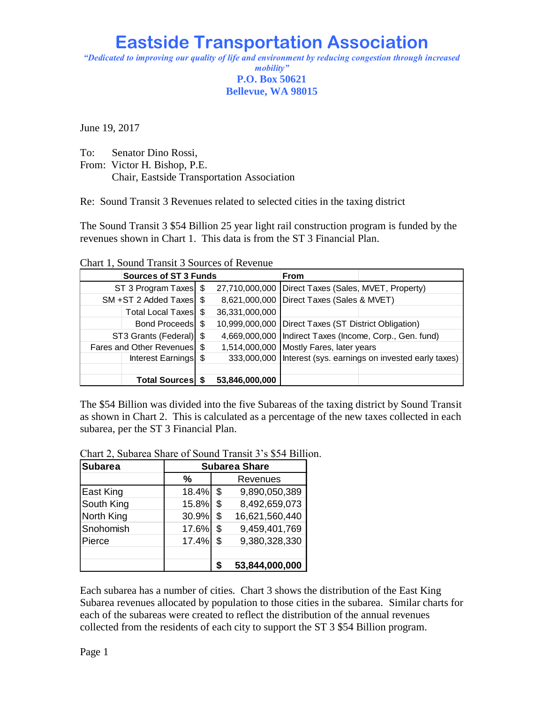## **Eastside Transportation Association**

*"Dedicated to improving our quality of life and environment by reducing congestion through increased mobility"* **P.O. Box 50621**

## **Bellevue, WA 98015**

June 19, 2017

To: Senator Dino Rossi,

From: Victor H. Bishop, P.E.

Chair, Eastside Transportation Association

Re: Sound Transit 3 Revenues related to selected cities in the taxing district

The Sound Transit 3 \$54 Billion 25 year light rail construction program is funded by the revenues shown in Chart 1. This data is from the ST 3 Financial Plan.

Chart 1, Sound Transit 3 Sources of Revenue

|                             | <b>Sources of ST 3 Funds</b> |                | <b>From</b>                                               |                                                                |  |  |
|-----------------------------|------------------------------|----------------|-----------------------------------------------------------|----------------------------------------------------------------|--|--|
| ST 3 Program Taxes \$       |                              |                | 27,710,000,000   Direct Taxes (Sales, MVET, Property)     |                                                                |  |  |
| SM +ST 2 Added Taxes \$     |                              |                | 8,621,000,000 Direct Taxes (Sales & MVET)                 |                                                                |  |  |
|                             | Total Local Taxes   \$       | 36,331,000,000 |                                                           |                                                                |  |  |
|                             | Bond Proceeds   \$           |                | 10,999,000,000   Direct Taxes (ST District Obligation)    |                                                                |  |  |
| ST3 Grants (Federal) \$     |                              |                | 4,669,000,000   Indirect Taxes (Income, Corp., Gen. fund) |                                                                |  |  |
| Fares and Other Revenues \$ |                              |                | 1,514,000,000 Mostly Fares, later years                   |                                                                |  |  |
|                             | Interest Earnings   \$       |                |                                                           | 333,000,000   Interest (sys. earnings on invested early taxes) |  |  |
|                             |                              |                |                                                           |                                                                |  |  |
|                             | <b>Total Sources</b>         | 53,846,000,000 |                                                           |                                                                |  |  |

The \$54 Billion was divided into the five Subareas of the taxing district by Sound Transit as shown in Chart 2. This is calculated as a percentage of the new taxes collected in each subarea, per the ST 3 Financial Plan.

Chart 2, Subarea Share of Sound Transit 3's \$54 Billion.

| <b>Subarea</b> | <b>Subarea Share</b> |    |                |  |  |  |
|----------------|----------------------|----|----------------|--|--|--|
|                | %                    |    | Revenues       |  |  |  |
| East King      | 18.4%                | \$ | 9,890,050,389  |  |  |  |
| South King     | 15.8%                | \$ | 8,492,659,073  |  |  |  |
| North King     | 30.9%                | \$ | 16,621,560,440 |  |  |  |
| Snohomish      | 17.6%                | \$ | 9,459,401,769  |  |  |  |
| Pierce         | 17.4%                | \$ | 9,380,328,330  |  |  |  |
|                |                      |    |                |  |  |  |
|                |                      |    | 53,844,000,000 |  |  |  |

Each subarea has a number of cities. Chart 3 shows the distribution of the East King Subarea revenues allocated by population to those cities in the subarea. Similar charts for each of the subareas were created to reflect the distribution of the annual revenues collected from the residents of each city to support the ST 3 \$54 Billion program.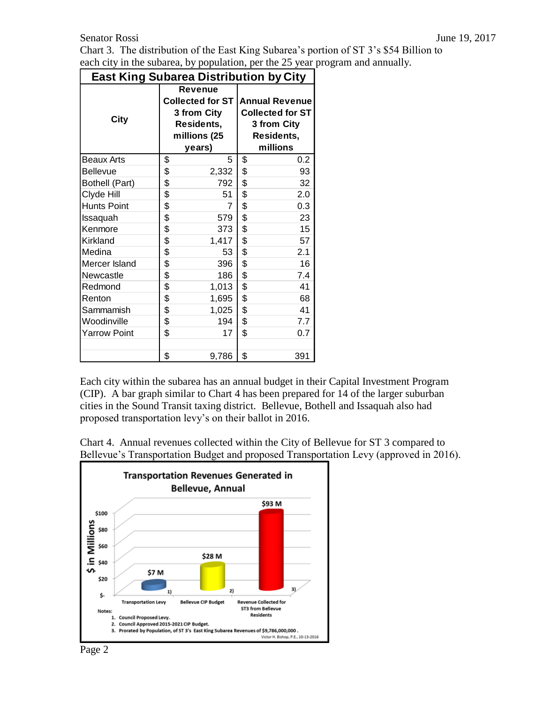Chart 3. The distribution of the East King Subarea's portion of ST 3's \$54 Billion to each city in the subarea, by population, per the 25 year program and annually.

| East King Subarea Distribution by City |                                                                                           |       |                                                                                           |     |  |  |  |  |  |
|----------------------------------------|-------------------------------------------------------------------------------------------|-------|-------------------------------------------------------------------------------------------|-----|--|--|--|--|--|
| City                                   | <b>Revenue</b><br>Collected for ST<br>3 from City<br>Residents,<br>millions (25<br>years) |       | <b>Annual Revenue</b><br><b>Collected for ST</b><br>3 from City<br>Residents,<br>millions |     |  |  |  |  |  |
| Beaux Arts                             | \$                                                                                        | 5     | \$                                                                                        | 0.2 |  |  |  |  |  |
| <b>Bellevue</b>                        | \$                                                                                        | 2,332 | \$                                                                                        | 93  |  |  |  |  |  |
| Bothell (Part)                         | \$                                                                                        | 792   | \$                                                                                        | 32  |  |  |  |  |  |
| Clyde Hill                             | \$                                                                                        | 51    | \$                                                                                        | 2.0 |  |  |  |  |  |
| <b>Hunts Point</b>                     | \$                                                                                        |       | \$                                                                                        | 0.3 |  |  |  |  |  |
| Issaquah                               | \$                                                                                        | 579   | \$                                                                                        | 23  |  |  |  |  |  |
| Kenmore                                | \$                                                                                        | 373   | \$                                                                                        | 15  |  |  |  |  |  |
| Kirkland                               | \$                                                                                        | 1,417 | \$                                                                                        | 57  |  |  |  |  |  |
| Medina                                 | \$                                                                                        | 53    | \$                                                                                        | 2.1 |  |  |  |  |  |
| Mercer Island                          | \$                                                                                        | 396   | \$                                                                                        | 16  |  |  |  |  |  |
| Newcastle                              | \$                                                                                        | 186   | \$                                                                                        | 7.4 |  |  |  |  |  |
| Redmond                                | \$                                                                                        | 1,013 | \$                                                                                        | 41  |  |  |  |  |  |
| Renton                                 | \$                                                                                        | 1,695 | \$                                                                                        | 68  |  |  |  |  |  |
| Sammamish                              | \$                                                                                        | 1,025 | \$                                                                                        | 41  |  |  |  |  |  |
| Woodinville                            | \$                                                                                        | 194   | \$                                                                                        | 7.7 |  |  |  |  |  |
| <b>Yarrow Point</b>                    | \$                                                                                        | 17    | \$                                                                                        | 0.7 |  |  |  |  |  |
|                                        |                                                                                           |       |                                                                                           |     |  |  |  |  |  |
|                                        | \$                                                                                        | 9,786 | \$                                                                                        | 391 |  |  |  |  |  |

**East King Subarea Distribution by City** Г

Each city within the subarea has an annual budget in their Capital Investment Program (CIP). A bar graph similar to Chart 4 has been prepared for 14 of the larger suburban cities in the Sound Transit taxing district. Bellevue, Bothell and Issaquah also had proposed transportation levy's on their ballot in 2016.

Chart 4. Annual revenues collected within the City of Bellevue for ST 3 compared to Bellevue's Transportation Budget and proposed Transportation Levy (approved in 2016).

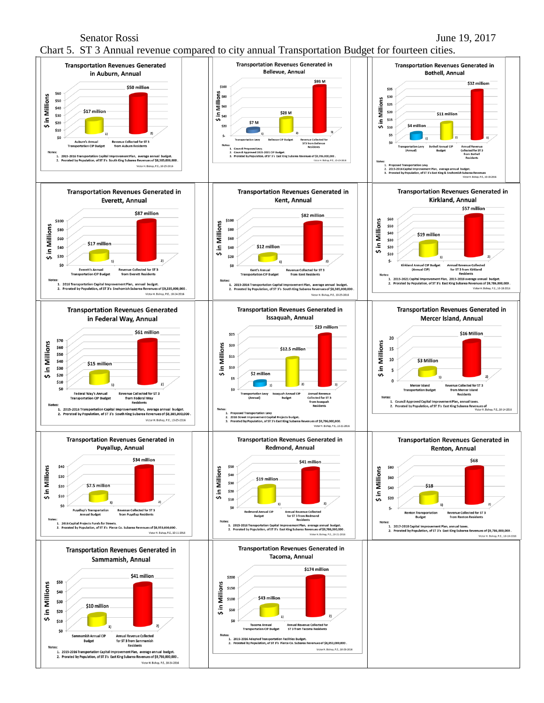Senator Rossi June 19, 2017